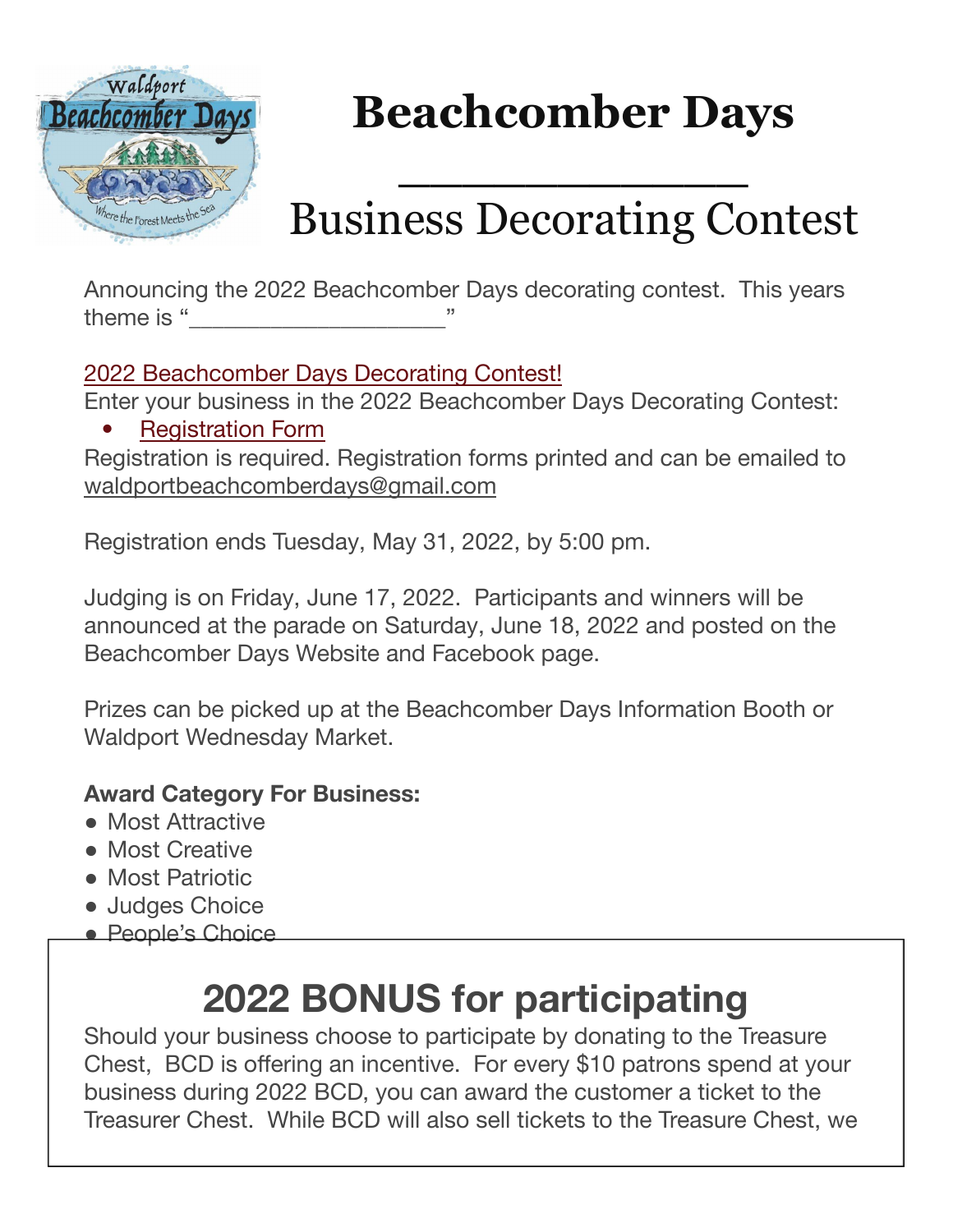

# **Beachcomber Days**

## Business Decorating Contest

**\_\_\_\_\_\_\_\_\_\_\_**

Announcing the 2022 Beachcomber Days decorating contest. This years theme is "

2022 Beachcomber Days Decorating Contest!

Enter your business in the 2022 Beachcomber Days Decorating Contest:

**Registration Form** 

Registration is required. Registration forms printed and can be emailed to waldportbeachcomberdays@gmail.com

Registration ends Tuesday, May 31, 2022, by 5:00 pm.

Judging is on Friday, June 17, 2022. Participants and winners will be announced at the parade on Saturday, June 18, 2022 and posted on the Beachcomber Days Website and Facebook page.

Prizes can be picked up at the Beachcomber Days Information Booth or Waldport Wednesday Market.

#### **Award Category For Business:**

- Most Attractive
- Most Creative
- Most Patriotic
- Judges Choice
- People's Choice

### **2022 BONUS for participating**

Should your business choose to participate by donating to the Treasure Chest, BCD is offering an incentive. For every \$10 patrons spend at your business during 2022 BCD, you can award the customer a ticket to the Treasurer Chest. While BCD will also sell tickets to the Treasure Chest, we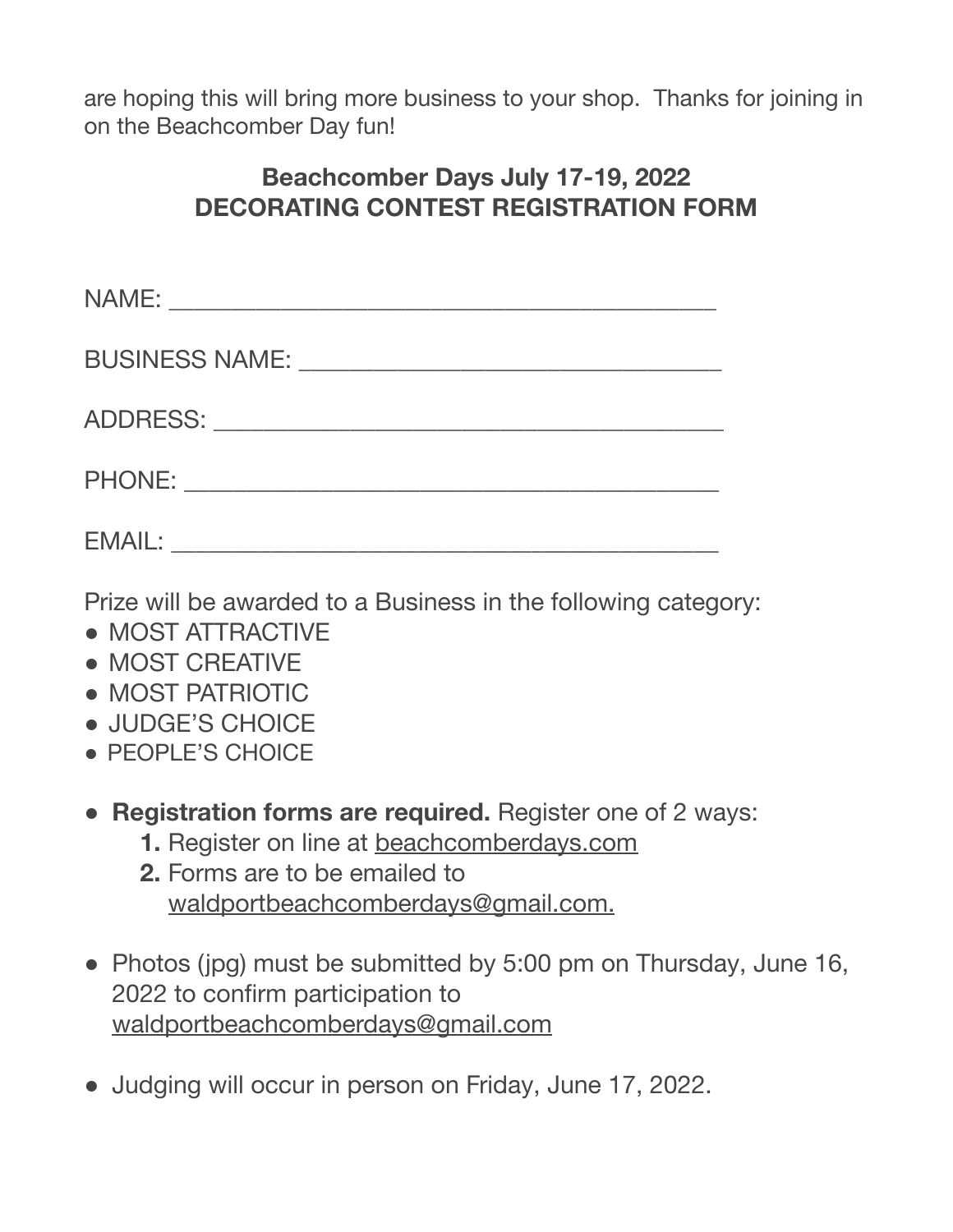are hoping this will bring more business to your shop. Thanks for joining in on the Beachcomber Day fun!

#### **Beachcomber Days July 17-19, 2022 DECORATING CONTEST REGISTRATION FORM**

| BUSINESS NAME: University of the SUSINESS NAME: |
|-------------------------------------------------|
|                                                 |
|                                                 |
| <b>EMAIL:</b>                                   |

Prize will be awarded to a Business in the following category:

- MOST ATTRACTIVE
- MOST CREATIVE
- MOST PATRIOTIC
- JUDGE'S CHOICE
- PEOPLE'S CHOICE
- **● Registration forms are required.** Register one of 2 ways:
	- **1.** Register on line at beachcomberdays.com
	- **2.** Forms are to be emailed to waldportbeachcomberdays@gmail.com.
- Photos (ipg) must be submitted by 5:00 pm on Thursday, June 16, 2022 to confirm participation to waldportbeachcomberdays@gmail.com
- Judging will occur in person on Friday, June 17, 2022.